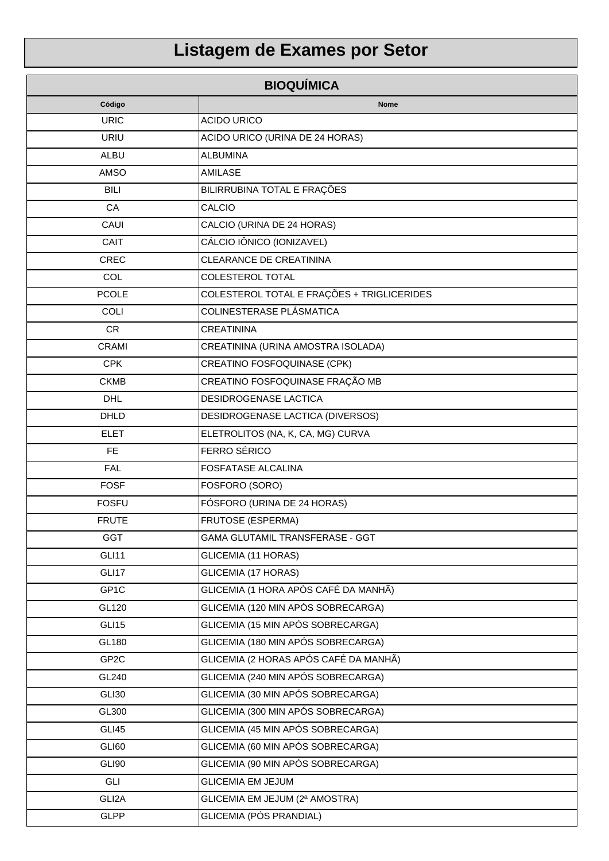## Listagem de Exames por Setor

| <b>BIOQUÍMICA</b> |                                            |
|-------------------|--------------------------------------------|
| Código            | Nome                                       |
| <b>URIC</b>       | <b>ACIDO URICO</b>                         |
| <b>URIU</b>       | ACIDO URICO (URINA DE 24 HORAS)            |
| <b>ALBU</b>       | <b>ALBUMINA</b>                            |
| AMSO              | <b>AMILASE</b>                             |
| <b>BILI</b>       | BILIRRUBINA TOTAL E FRAÇÕES                |
| CA                | CALCIO                                     |
| CAUI              | CALCIO (URINA DE 24 HORAS)                 |
| CAIT              | CÁLCIO IÔNICO (IONIZAVEL)                  |
| <b>CREC</b>       | <b>CLEARANCE DE CREATININA</b>             |
| <b>COL</b>        | COLESTEROL TOTAL                           |
| <b>PCOLE</b>      | COLESTEROL TOTAL E FRAÇÕES + TRIGLICERIDES |
| <b>COLI</b>       | COLINESTERASE PLÁSMATICA                   |
| <b>CR</b>         | <b>CREATININA</b>                          |
| <b>CRAMI</b>      | CREATININA (URINA AMOSTRA ISOLADA)         |
| <b>CPK</b>        | CREATINO FOSFOQUINASE (CPK)                |
| <b>CKMB</b>       | CREATINO FOSFOQUINASE FRAÇÃO MB            |
| <b>DHL</b>        | DESIDROGENASE LACTICA                      |
| <b>DHLD</b>       | DESIDROGENASE LACTICA (DIVERSOS)           |
| <b>ELET</b>       | ELETROLITOS (NA, K, CA, MG) CURVA          |
| FE                | FERRO SÉRICO                               |
| <b>FAL</b>        | FOSFATASE ALCALINA                         |
| <b>FOSF</b>       | FOSFORO (SORO)                             |
| <b>FOSFU</b>      | FÓSFORO (URINA DE 24 HORAS)                |
| <b>FRUTE</b>      | <b>FRUTOSE (ESPERMA)</b>                   |
| <b>GGT</b>        | GAMA GLUTAMIL TRANSFERASE - GGT            |
| GLI11             | GLICEMIA (11 HORAS)                        |
| GLI17             | <b>GLICEMIA (17 HORAS)</b>                 |
| GP1C              | GLICEMIA (1 HORA APÓS CAFÉ DA MANHÃ)       |
| GL120             | GLICEMIA (120 MIN APÓS SOBRECARGA)         |
| <b>GLI15</b>      | GLICEMIA (15 MIN APÓS SOBRECARGA)          |
| GL180             | GLICEMIA (180 MIN APÓS SOBRECARGA)         |
| GP <sub>2C</sub>  | GLICEMIA (2 HORAS APÓS CAFÉ DA MANHÃ)      |
| GL240             | GLICEMIA (240 MIN APÓS SOBRECARGA)         |
| GLI30             | GLICEMIA (30 MIN APÓS SOBRECARGA)          |
| GL300             | GLICEMIA (300 MIN APÓS SOBRECARGA)         |
| GLI45             | GLICEMIA (45 MIN APÓS SOBRECARGA)          |
| GLI60             | GLICEMIA (60 MIN APÓS SOBRECARGA)          |
| GLI90             | GLICEMIA (90 MIN APÓS SOBRECARGA)          |
| GLI               | <b>GLICEMIA EM JEJUM</b>                   |
| GLI2A             | GLICEMIA EM JEJUM (2ª AMOSTRA)             |
| <b>GLPP</b>       | GLICEMIA (PÓS PRANDIAL)                    |